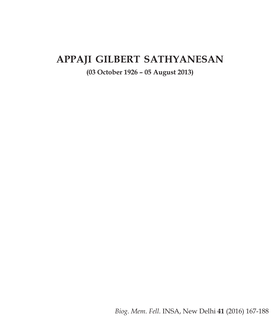# **APPAJI GILBERT SATHYANESAN**

**(03 October 1926 – 05 August 2013)**

*Biog. Mem. Fell.* INSA, New Delhi **41** (2016) 167-188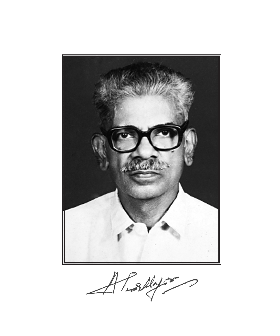

Alselys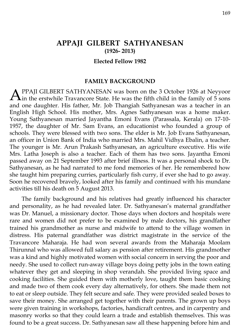# **APPAJI GILBERT SATHYANESAN (1926- 2013)**

# **Elected Fellow 1982**

#### **FAMILY BACKGROUND**

A PPAJI GILBERT SATHYANESAN was born on the 3 October 1926 at Neyyoor **A** PPAJI GILBERT SATHYANESAN was born on the 3 October 1926 at Neyyoor in the erstwhile Travancore State. He was the fifth child in the family of 5 sons and one daughter. His father, Mr. Job Thangiah Sathyanesan was a teacher in an English High School. His mother, Mrs. Agnes Sathyanesan was a home maker. Young Sathyanesan married Jayantha Emoni Evans (Parassala, Kerala) on 17-10- 1957, the daughter of Mr. Sam Evans, an educationist who founded a group of schools. They were blessed with two sons. The elder is Mr. Job Evans Sathyanesan, an officer in Union Bank of India who married Mrs. Mahil Vidhya Ebalin, a teacher. The younger is Mr. Arun Prakash Sathyanesan, an agriculture executive. His wife Mrs. Latha Joseph is also a teacher. Each of them has two sons. Jayantha Emoni passed away on 21 September 1993 after brief illness. It was a personal shock to Dr. Sathyanesan, as he had narrated to me fond memories of her. He remembered how she taught him preparing curries, particularly fish curry, if ever she had to go away. Soon he recovered bravely, looked after his family and continued with his mundane activities till his death on 5 August 2013.

 The family background and his relatives had greatly influenced his character and personality, as he had revealed later. Dr. Sathyanesan's maternal grandfather was Dr. Manuel, a missionary doctor. Those days when doctors and hospitals were rare and women did not prefer to be examined by male doctors, his grandfather trained his grandmother as nurse and midwife to attend to the village women in distress. His paternal grandfather was district magistrate in the service of the Travancore Maharaja. He had won several awards from the Maharaja Moolam Thirunnal who was allowed full salary as pension after retirement. His grandmother was a kind and highly motivated women with social concern in serving the poor and needy. She used to collect run-away village boys doing petty jobs in the town eating whatever they get and sleeping in shop verandah. She provided living space and cooking facilities. She guided them with motherly love, taught them basic cooking and made two of them cook every day alternatively, for others. She made them not to eat or sleep outside. They felt secure and safe. They were provided sealed boxes to save their money. She arranged get together with their parents. The grown up boys were given training in workshops, factories, handicraft centres, and in carpentry and masonry works so that they could learn a trade and establish themselves. This was found to be a great success. Dr. Sathyanesan saw all these happening before him and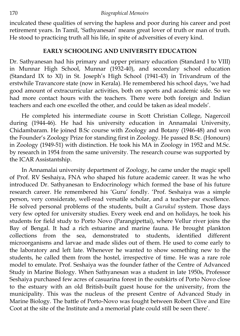inculcated these qualities of serving the hapless and poor during his career and post retirement years. In Tamil, 'Sathyanesan' means great lover of truth or man of truth. He stood to practicing truth all his life, in spite of adversities of every kind.

# **EARLY SCHOOLING AND UNIVERSITY EDUCATION**

Dr. Sathyanesan had his primary and upper primary education (Standard I to VIII) in Munnar High School, Munnar (1932-40), and secondary school education (Standard IX to XI) in St. Joseph's High School (1941-43) in Trivandrum of the erstwhile Travancore state (now in Kerala). He remembered his school days, 'we had good amount of extracurricular activities, both on sports and academic side. So we had more contact hours with the teachers. There were both foreign and Indian teachers and each one excelled the other, and could be taken as ideal models'.

 He completed his intermediate course in Scott Christian College, Nagercoil during (1944-46). He had his university education in Annamalai University, Chidambaram. He joined B.Sc course with Zoology and Botany (1946-48) and won the Founder's Zoology Prize for standing first in Zoology. He passed B.Sc. (Honours) in Zoology (1949-51) with distinction. He took his MA in Zoology in 1952 and M.Sc. by research in 1954 from the same university. The research course was supported by the ICAR Assistantship.

 In Annamalai university department of Zoology, he came under the magic spell of Prof. RV Seshaiya, FNA who shaped his future academic career. It was he who introduced Dr. Sathyanesan to Endocrinology which formed the base of his future research career. He remembered his 'Guru' fondly. 'Prof. Seshaiya was a simple person, very considerate, well-read versatile scholar, and a teacher-par excellence. He solved personal problems of the students, built a *Gurukul* system. Those days very few opted for university studies. Every week end and on holidays, he took his students for field study to Porto Novo (Parangipettai), where Vellur river joins the Bay of Bengal. It had a rich estuarine and marine fauna. He brought plankton collections from the sea, demonstrated to students, identified different microorganisms and larvae and made slides out of them. He used to come early to the laboratory and left late. Whenever he wanted to show something new to the students, he called them from the hostel, irrespective of time. He was a rare role model to emulate. Prof. Seshaiya was the founder father of the Centre of Advanced Study in Marine Biology. When Sathyanesan was a student in late 1950s, Professor Seshaiya purchased few acres of casuarina forest in the outskirts of Porto Novo close to the estuary with an old British-built guest house for the university, from the municipality. This was the nucleus of the present Centre of Advanced Study in Marine Biology. The battle of Porto-Novo was fought between Robert Clive and Eire Coot at the site of the Institute and a memorial plate could still be seen there'.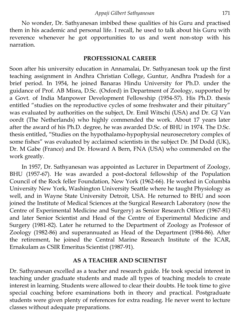No wonder, Dr. Sathyanesan imbibed these qualities of his Guru and practised them in his academic and personal life. I recall, he used to talk about his Guru with reverence whenever he got opportunities to us and went non-stop with his narration.

#### **PROFESSIONAL CAREER**

Soon after his university education in Annamalai, Dr. Sathyanesan took up the first teaching assignment in Andhra Christian College, Guntur, Andhra Pradesh for a brief period. In 1954, he joined Banaras Hindu University for Ph.D. under the guidance of Prof. AB Misra, D.Sc. (Oxford) in Department of Zoology, supported by a Govt. of India Manpower Development Fellowship (1954-57). His Ph.D. thesis entitled "studies on the reproductive cycles of some freshwater and their pituitary" was evaluated by authorities on the subject, Dr. Emil Witschi (USA) and Dr. GJ Van oordt (The Netherlands) who highly commended the work. About 17 years later after the award of his Ph.D. degree, he was awarded D.Sc. of BHU in 1974. The D.Sc. thesis entitled, "Studies on the hypothalamo-hypophysial neurosecretory complex of some fishes" was evaluated by acclaimed scientists in the subject Dr. JM Dodd (UK), Dr. M Gabe (France) and Dr. Howard A Bern, FNA (USA) who commended on the work greatly.

 In 1957, Dr. Sathyanesan was appointed as Lecturer in Department of Zoology, BHU (1957-67). He was awarded a post-doctoral fellowship of the Population Council of the Rock feller Foundation, New York (1962-66). He worked in Columbia University New York, Washington University Seattle where he taught Physiology as well, and in Wayne State University Detroit, USA. He returned to BHU and soon joined the Institute of Medical Sciences at the Surgical Research Laboratory (now the Centre of Experimental Medicine and Surgery) as Senior Research Officer (1967-81) and later Senior Scientist and Head of the Centre of Experimental Medicine and Surgery (1981-82). Later he returned to the Department of Zoology as Professor of Zoology (1982-86) and superannuated as Head of the Department (1984-86). After the retirement, he joined the Central Marine Research Institute of the ICAR, Ernakulam as CSIR Emeritus Scientist (1987-91).

# **AS A TEACHER AND SCIENTIST**

Dr. Sathyanesan excelled as a teacher and research guide. He took special interest in teaching under graduate students and made all types of teaching models to create interest in learning. Students were allowed to clear their doubts. He took time to give special coaching before examinations both in theory and practical. Postgraduate students were given plenty of references for extra reading. He never went to lecture classes without adequate preparations.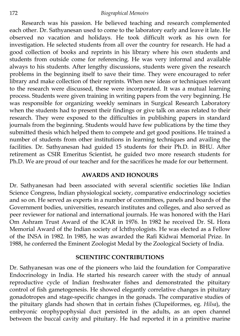#### 172 *Biographical Memoirs*

 Research was his passion. He believed teaching and research complemented each other. Dr. Sathyanesan used to come to the laboratory early and leave it late. He observed no vacation and holidays. He took difficult work as his own for investigation. He selected students from all over the country for research. He had a good collection of books and reprints in his library where his own students and students from outside come for referencing. He was very informal and available always to his students. After lengthy discussions, students were given the research problems in the beginning itself to save their time. They were encouraged to refer library and make collection of their reprints. When new ideas or techniques relevant to the research were discussed, these were incorporated. It was a mutual learning process. Students were given training in writing papers from the very beginning. He was responsible for organizing weekly seminars in Surgical Research Laboratory when the students had to present their findings or give talk on areas related to their research. They were exposed to the difficulties in publishing papers in standard journals from the beginning. Students would have few publications by the time they submitted thesis which helped them to compete and get good positions. He trained a number of students from other institutions in learning techniques and availing the facilities. Dr. Sathyanesan had guided 15 students for their Ph.D. in BHU. After retirement as CSIR Emeritus Scientist, he guided two more research students for Ph.D. We are proud of our teacher and for the sacrifices he made for our betterment.

# **AWARDS AND HONOURS**

Dr. Sathyanesan had been associated with several scientific societies like Indian Science Congress, Indian physiological society, comparative endocrinology societies and so on. He served as experts in a number of committees, panels and boards of the Government bodies, universities, research institutes and colleges, and also served as peer reviewer for national and international journals. He was honored with the Hari Om Ashram Trust Award of the ICAR in 1976. In 1982 he received Dr. SL Hora Memorial Award of the Indian society of Ichthyologists. He was elected as a Fellow of the INSA in 1982. In 1985, he was awarded the Rafi Kidwai Memorial Prize. In 1988, he conferred the Eminent Zoologist Medal by the Zoological Society of India.

# **SCIENTIFIC CONTRIBUTIONS**

Dr. Sathyanesan was one of the pioneers who laid the foundation for Comparative Endocrinology in India. He started his research career with the study of annual reproductive cycle of Indian freshwater fishes and demonstrated the pituitary control of fish gametogenesis. He showed elegantly correlative changes in pituitary gonadotropes and stage-specific changes in the gonads. The comparative studies of the pituitary glands had shown that in certain fishes (Clupeiformes, eg. *Hilsa*), the embryonic orophypophysial duct persisted in the adults, as an open channel between the buccal cavity and pituitary. He had reported it in a primitive marine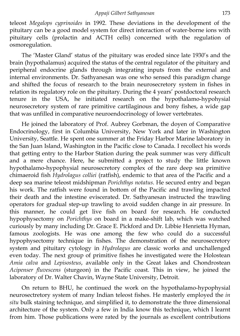teleost *Megalops cyprinoides* in 1992. These deviations in the development of the pituitary can be a good model system for direct interaction of water-borne ions with pituitary cells (prolactin and ACTH cells) concerned with the regulation of osmoregulation.

 The 'Master Gland' status of the pituitary was eroded since late 1930's and the brain (hypothalamus) acquired the status of the central regulator of the pituitary and peripheral endocrine glands through integrating inputs from the external and internal environments. Dr. Sathyanesan was one who sensed this paradigm change and shifted the focus of research to the brain neurosecretory system in fishes in relation its regulatory role on the pituitary. During the 4 years' postdoctoral research tenure in the USA, he initiated research on the hypothalamo-hypohysial neurosecretory system of rare primitive cartilaginous and bony fishes, a wide gap that was unfilled in comparative neuroendocrinology of lower vertebrates.

 He joined the laboratory of Prof. Aubrey Gorbman, the doyen of Comparative Endocrinology, first in Columbia University, New York and later in Washington University, Seattle. He spent one summer at the Friday Harbor Marine laboratory in the San Juan Island, Washington in the Pacific close to Canada. I recollect his words that getting entry to the Harbor Station during the peak summer was very difficult and a mere chance. Here, he submitted a project to study the little known hypothalamo-hypophysial neurosecretory complex of the rare deep sea primitive chimaeroid fish *Hydrolagus colliei* (ratfish), endemic to that area of the Pacific and a deep sea marine teleost midshipman *Porichthys notatus*. He secured entry and began his work. The ratfish were found in bottom of the Pacific and trawling impacted their death and the intestine eviscerated. Dr. Sathyanesan instructed the trawling operators for gradual step-up trawling to avoid sudden change in air pressure. In this manner, he could get live fish on board for research. He conducted hypophysectomy on *Porichthys* on board in a make-shift lab, which was watched curiously by many including Dr. Grace E. Pickford and Dr. Libbie Henrietta Hyman, famous zoologists. He was one among the few who could do a successful hypophysectomy technique in fishes. The demonstration of the neurosecretory system and pituitary cytology in *Hydrolagus* are classic works and unchallenged even today. The next group of primitive fishes he investigated were the Holostean *Amia calva* and *Lepisosteus*, available only in the Great lakes and Chondrostean *Acipenser fluvescens* (sturgeon) in the Pacific coast. This in view, he joined the laboratory of Dr. Walter Chavin, Wayne State University, Detroit.

 On return to BHU, he continued the work on the hypothalamo-hypophysial neurosectretory system of many Indian teleost fishes. He masterly employed the *in situ* bulk staining technique, and simplified it, to demonstrate the three dimensional architecture of the system. Only a few in India know this technique, which I learnt from him. Those publications were rated by the journals as excellent contributions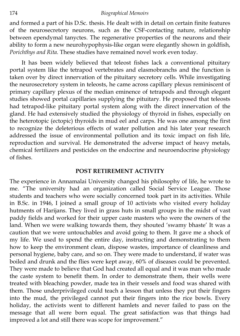#### 174 *Biographical Memoirs*

and formed a part of his D.Sc. thesis. He dealt with in detail on certain finite features of the neurosecretory neurons, such as the CSF-contacting nature, relationship between ependymal tanyctes. The regenerative properties of the neurons and their ability to form a new neurohypophysis-like organ were elegantly shown in goldfish, *Porichthys and Rita.* These studies have remained novel work even today.

 It has been widely believed that teleost fishes lack a conventional pituitary portal system like the tetrapod vertebrates and elasmobranchs and the function is taken over by direct innervation of the pituitary secretory cells. While investigating the neurosecretory system in teleosts, he came across capillary plexus reminiscent of primary capillary plexus of the median eminence of tetrapods and through elegant studies showed portal capillaries supplying the pituitary. He proposed that teleosts had tetrapod-like pituitary portal system along with the direct innervation of the gland. He had extensively studied the physiology of thyroid in fishes, especially on the heterotopic (ectopic) thyroids in mud eel and carps. He was one among the first to recognize the deleterious effects of water pollution and his later year research addressed the issue of environmental pollution and its toxic impact on fish life, reproduction and survival. He demonstrated the adverse impact of heavy metals, chemical fertilizers and pesticides on the endocrine and neuroendocrine physiology of fishes.

# **POST RETIREMENT ACTIVITY**

The experience in Annamalai University changed his philosophy of life, he wrote to me. "The university had an organization called Social Service League. Those students and teachers who were socially concerned took part in its activities. While in B.Sc. in 1946, I joined a small group of 10 activists who visited every holiday hutments of Harijans. They lived in grass huts in small groups in the midst of vast paddy fields and worked for their upper caste masters who were the owners of the land. When we were walking towards them, they shouted 'swamy bhaste' It was a caution that we were untouchables and avoid going to them. It gave me a shock of my life. We used to spend the entire day, instructing and demonstrating to them how to keep the environment clean, dispose wastes, importance of cleanliness and personal hygiene, baby care, and so on. They were made to understand, if water was boiled and drunk and the flies were kept away, 60% of diseases could be prevented. They were made to believe that God had created all equal and it was man who made the caste system to benefit them. In order to demonstrate them, their wells were treated with bleaching powder, made tea in their vessels and food was shared with them. Those underprivileged could teach a lesson that unless they put their fingers into the mud, the privileged cannot put their fingers into the rice bowls. Every holiday, the activists went to different hamlets and never failed to pass on the message that all were born equal. The great satisfaction was that things had improved a lot and still there was scope for improvement."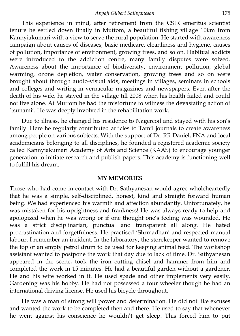#### *Appaji Gilbert Sathyanesan* 175

 This experience in mind, after retirement from the CSIR emeritus scientist tenure he settled down finally in Muttom, a beautiful fishing village 10km from Kannyiakumari with a view to serve the rural population. He started with awareness campaign about causes of diseases, basic medicare, cleanliness and hygiene, causes of pollution, importance of environment, growing trees, and so on. Habitual addicts were introduced to the addiction centre, many family disputes were solved. Awareness about the importance of biodiversity, environment pollution, global warming, ozone depletion, water conservation, growing trees and so on were brought about through audio-visual aids, meetings in villages, seminars in schools and colleges and writing in vernacular magazines and newspapers. Even after the death of his wife, he stayed in the village till 2008 when his health failed and could not live alone. At Muttom he had the misfortune to witness the devastating action of 'tsunami'. He was deeply involved in the rehabilitation work.

 Due to illness, he changed his residence to Nagercoil and stayed with his son's family. Here he regularly contributed articles to Tamil journals to create awareness among people on various subjects. With the support of Dr. RR Daniel, FNA and local academicians belonging to all disciplines, he founded a registered academic society called Kannyiakumari Academy of Arts and Science (KAAS) to encourage younger generation to initiate research and publish papers. This academy is functioning well to fulfill his dream.

#### **MY MEMORIES**

Those who had come in contact with Dr. Sathyanesan would agree wholeheartedly that he was a simple, self-disciplined, honest, kind and straight forward human being. We had experienced his warmth and affection abundantly. Unfortunately, he was mistaken for his uprightness and frankness! He was always ready to help and apologized when he was wrong or if one thought one's feeling was wounded. He was a strict disciplinarian, punctual and transparent all along. He hated procrastination and forgetfulness. He practised 'Shrmadhan' and respected manual labour. I remember an incident. In the laboratory, the storekeeper wanted to remove the top of an empty petrol drum to be used for keeping animal feed. The workshop assistant wanted to postpone the work that day due to lack of time. Dr. Sathyanesan appeared in the scene, took the iron cutting chisel and hammer from him and completed the work in 15 minutes. He had a beautiful garden without a gardener. He and his wife worked in it. He used spade and other implements very easily. Gardening was his hobby. He had not possessed a four wheeler though he had an international driving license. He used his bicycle throughout.

 He was a man of strong will power and determination. He did not like excuses and wanted the work to be completed then and there. He used to say that whenever he went against his conscience he wouldn't get sleep. This forced him to put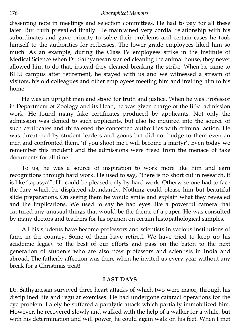#### 176 *Biographical Memoirs*

dissenting note in meetings and selection committees. He had to pay for all these later. But truth prevailed finally. He maintained very cordial relationship with his subordinates and gave priority to solve their problems and certain cases he took himself to the authorities for redresses. The lower grade employees liked him so much. As an example, during the Class IV employees strike in the Institute of Medical Science when Dr. Sathyanesan started cleaning the animal house, they never allowed him to do that, instead they cleaned breaking the strike. When he came to BHU campus after retirement, he stayed with us and we witnessed a stream of visitors, his old colleagues and other employees meeting him and inviting him to his home.

 He was an upright man and stood for truth and justice. When he was Professor in Department of Zoology and its Head, he was given charge of the B.Sc. admission work. He found many fake certificates produced by applicants. Not only the admission was denied to such applicants, but also he inquired into the source of such certificates and threatened the concerned authorities with criminal action. He was threatened by student leaders and goons but did not budge to them even an inch and confronted them, 'if you shoot me I will become a martyr'. Even today we remember this incident and the admissions were freed from the menace of fake documents for all time.

 To us, he was a source of inspiration to work more like him and earn recognitions through hard work. He used to say, "there is no short cut in research, it is like 'tapasya'". He could be pleased only by hard work. Otherwise one had to face the fury which he displayed abundantly. Nothing could please him but beautiful slide preparations. On seeing them he would smile and explain what they revealed and the implications. We used to say he had eyes like a powerful camera that captured any unusual things that would be the theme of a paper. He was consulted by many doctors and teachers for his opinion on certain histopathological samples.

 All his students have become professors and scientists in various institutions of fame in the country. Some of them have retired. We have tried to keep up his academic legacy to the best of our efforts and pass on the baton to the next generation of students who are also now professors and scientists in India and abroad. The fatherly affection was there when he invited us every year without any break for a Christmas treat!

#### **LAST DAYS**

Dr. Sathyanesan survived three heart attacks of which two were major, through his disciplined life and regular exercises. He had undergone cataract operations for the eye problem. Lately he suffered a paralytic attack which partially immobilized him. However, he recovered slowly and walked with the help of a walker for a while, but with his determination and will power, he could again walk on his feet. When I met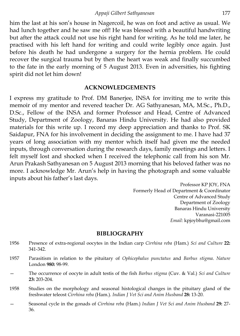*Appaji Gilbert Sathyanesan* 177

him the last at his son's house in Nagercoil, he was on foot and active as usual. We had lunch together and he saw me off! He was blessed with a beautiful handwriting but after the attack could not use his right hand for writing. As he told me later, he practised with his left hand for writing and could write legibly once again. Just before his death he had undergone a surgery for the hernia problem. He could recover the surgical trauma but by then the heart was weak and finally succumbed to the fate in the early morning of 5 August 2013. Even in adversities, his fighting spirit did not let him down!

# **ACKNOWLEDGEMENTS**

I express my gratitude to Prof. DM Banerjee, INSA for inviting me to write this memoir of my mentor and revered teacher Dr. AG Sathyanesan, MA, M.Sc., Ph.D., D.Sc., Fellow of the INSA and former Professor and Head, Centre of Advanced Study, Department of Zoology, Banaras Hindu University. He had also provided materials for this write up. I record my deep appreciation and thanks to Prof. SK Saidapur, FNA for his involvement in deciding the assignment to me. I have had 37 years of long association with my mentor which itself had given me the needed inputs, through conversation during the research days, family meetings and letters. I felt myself lost and shocked when I received the telephonic call from his son Mr. Arun Prakash Sathyanesan on 5 August 2013 morning that his beloved father was no more. I acknowledge Mr. Arun's help in having the photograph and some valuable inputs about his father's last days.

> Professor KP JOY, FNA Formerly Head of Department & Coordinator Centre of Advanced Study Department of Zoology Banaras Hindu University Varanasi-221005 *Email:* kpjoybhu@gmail.com

#### **BIBLIOGRAPHY**

- 1956 Presence of extra-regional oocytes in the Indian carp *Cirrhina reba* (Ham.) *Sci and Culture* **22:**  341-342.
- 1957 Parasitism in relation to the pituitary of *Ophicephalus punctatus* and *Barbus stigma*. *Nature* London **980:** 98-99.
- The occurrence of oocyte in adult testis of the fish *Barbus stigma* (Cuv. & Val.) *Sci and Culture* **23:** 203-204.
- 1958 Studies on the morphology and seasonal histological changes in the pituitary gland of the freshwater teleost *Cirrhina reba* (Ham.). *Indian J Vet Sci and Anim Husband* **28:** 13-20.
- Seasonal cycle in the gonads of *Cirrhina reba* (Ham.) *Indian J Vet Sci and Anim Husband* **29:** 27- 36.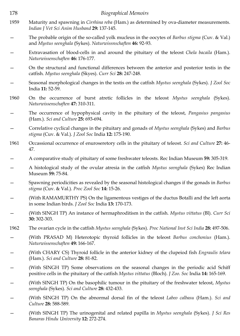| 178  | <b>Biographical Memoirs</b>                                                                                                                                                                    |
|------|------------------------------------------------------------------------------------------------------------------------------------------------------------------------------------------------|
| 1959 | Maturity and spawning in Cirrhina reba (Ham.) as determined by ova-diameter measurements.<br>Indian J Vet Sci Anim Husband 29: 137-145.                                                        |
|      | The probable origin of the so-called yolk mucleus in the oocytes of Barbus stigma (Cuv. & Val.)<br>and Mystus seenghala (Sykes). Naturwissnschaften 46: 92-93.                                 |
|      | Extravasation of blood-cells in and around the pituitary of the teleost Chela bacaila (Ham.).<br>Naturwissenschaften 46: 176-177.                                                              |
|      | On the structural and functional differences between the anterior and posterior testis in the<br>catfish. Mystus seenghala (Skyes). Curr Sci 28: 247-248.                                      |
|      | Seasonal morphological changes in the testis on the catfish Mystus seenghala (Sykes). J Zool Soc<br>India 11: 52-59.                                                                           |
| 1960 | On the occurrence of burst atretic follicles in the teleost Mystus seenghala (Sykes).<br>Naturwissenschaften 47: 310-311.                                                                      |
|      | The occurrence of hypophysical cavity in the pituitary of the teleost, Pangasius pangasius<br>(Ham.). Sci and Culture 25: 693-694.                                                             |
|      | Correlative cyclical changes in the pituitary and gonads of Mystus seenghala (Sykes) and Barbus<br>stigma (Cuv. & Val.). J Zool Soc India 12: 175-190.                                         |
| 1961 | Occassional occurrence of enuroseretory cells in the pituitary of teleost. Sci and Culture 27: 46-<br>47.                                                                                      |
|      | A comparative study of pituitary of some freshwater teleosts. Rec Indian Museum 59: 305-319.                                                                                                   |
|      | A histological study of the ovular atresia in the catfish Mystus seenghala (Sykes) Rec Indian<br>Museum 59: 75-84.                                                                             |
|      | Spawning periodicities as revealed by the seasonal histological changes if the gonads in Barbus<br>stigma (Cuv. & Val.). Proc Zool Soc 14: 15-26.                                              |
|      | (With RAMAMURTHY PS) On the ligamentous vestiges of the ductus Botalli and the left aorta<br>in some Indian birds. J Zool Soc India 13: 170-173.                                               |
|      | (With SINGH TP) An instance of hermaphroditism in the catfish. Mystus vittatus (Bl). Curr Sci<br>30: 302-303.                                                                                  |
| 1962 | The ovarian cycle in the catfish Mystus seenghala (Sykes). Proc National Inst Sci India 28: 497-506.                                                                                           |
|      | (With PRASAD M) Heterotopic thyroid follicles in the teleost Barbus conchonius (Ham.).<br>Naturwissenschaften 49: 166-167.                                                                     |
|      | (With CHARY CS) Thyroid follicle in the anterior kidney of the clupeiod fish Engraulis telara<br>(Ham.). Sci and Culture 28: 81-82.                                                            |
|      | (With SINGH TP) Some observations on the seasonal changes in the periodic acid Schiff<br>positive cells in the pituitary of the catfish Mystus vittatus (Bloch). J Zoo. Soc India 14: 165-169. |
|      | (With SINGH TP) On the basophilic tumour in the pituitary of the freshwater teleost, Mystus<br>seenghala (Sykes). Sci and Culture 28: 432-433.                                                 |
|      | (With SINGH TP) On the abnormal dorsal fin of the teleost Labeo calbasu (Ham.). Sci and<br>Culture 28: 588-589.                                                                                |
|      | (With SINGH TP) The urinogenital and related papilla in Mystus seenghala (Sykes). J Sci Res<br>Banaras Hindu University 12: 272-274.                                                           |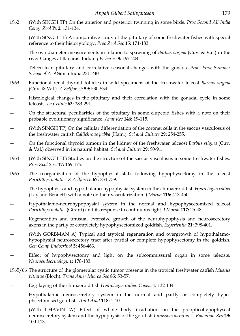- 1962 (With SINGH TP) On the anterior and posterior twinning in some birds, *Proc Second All India Congr Zool* **Pt 2:** 131-134.
- (With SINGH TP) A comparative study of the pituitary of some freshwater fishes with special reference to their histocytology. *Proc Zool Soc* **15:** 171-183.
- The ova-diameter measurements in relation to spawning of *Barbus stigma* (Cuv. & Val.) in the river Ganges at Banaras. Indian *J Fisheries* **9:** 197-204.
- Telecostean pituitary and correlative seasonal changes with the gonads. *Proc. First Summer School of Zool* Simla India 231-240.
- 1963 Functional renal thyroid follicles in wild specimens of the freshwater teleost *Barbus stigma*  (Cuv. & Val.). *Z Zellforsch* **59:** 530-534.
- Histological changes in the pituitary and their correlation with the gonadal cycle in some teleosts. *La Cellule* **63:** 283-291.
- On the structural peculiarities of the pituitary in some clupeoid fishes with a note on their probable evolutionary significance. *Anat Rec* **146:** 19-115.
- (With SINGH TP) On the cellular differentiation of the coronet cells in the saccus vasculosus of the freshwater catfish *Callichrous pabba* (Ham.). *Sci and Culture* **29:** 254-255.
- On the functional thyroid tumour in the kidney of the freshwater telceost *Barbus stigma* (Cuv. & Val.) observed in its natural habitat. *Sci and Culture* **29:** 90-91.
- 1964 (With SINGH TP) Studies on the structure of the saccus vasculosus in some freshwater fishes. *Proc Zool Soc*. **17:** 169-175.
- 1965 The reorganization of the hypophysial stalk following hypophysectomy in the teleost *Porichthys notatus*. *Z Zellforsch* **67:** 734-739.
- The hypophysis and hypothalamo-hypophysial system in the chimaeroid fish *Hydrolagus colliei* (Lay and Bennett) with a note on their vascularization. *J Morph* **116:** 413-450.
- Hypothalamo-neurohypophysial system in the normal and hypophysectomized teleost *Porichthys notatus* (Girard) and its response to continuous light. *J Morph* **117:** 25-48.
- Regeneration and unusual extensive growth of the neurohypophysis and neurosecretory axons in the partly or completely hypophysectomized goldfish. *Experientia* **21:** 398-401.
- (With GORBMAN A) Typical and atypical regeneration and overgrowth of hypothalamohypophysial neurosecretory tract after partial or complete hypophysectomy in the goldfish. *Gen Comp Endocrinol* **5:** 456-463.
- Effect of hypophysectomy and light on the subcommissural organ in some teleosts. *Neuroendocrinology* **1:** 178-183.
- 1965/66 The structure of the glomerular cystic tumor presents in the tropical freshwater catfish *Mystus vittatus* (Bloch). *Trans Amer Micros Soc* **85:** 53-57.
- Egg-laying of the chimaeroid fish *Hydrolagus colliei*. *Copeia* **1:** 132-134.
- Hypothalamic neurosecretory system in the normal and partly or completely hypophsectomised goldfish. *Am J Anat* **118:** 1-10.
- (With CHAVIN W) Effect of whole body irradiation on the preopticohypophyseal neurosecretory system and the hypophysis of the goldfish *Carassius auratus* L. *Radiation Res* **29:**  100-113.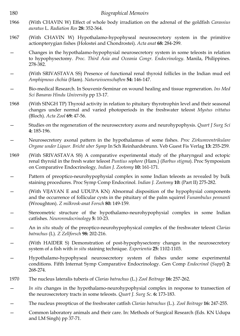| 180  | <b>Biographical Memoirs</b>                                                                                                                                                                                                                            |
|------|--------------------------------------------------------------------------------------------------------------------------------------------------------------------------------------------------------------------------------------------------------|
| 1966 | (With CHAVIN W) Effect of whole body irradiation on the adrenal of the goldfish Carassius<br>auratus L. Radiation Res 28: 352-364.                                                                                                                     |
| 1967 | (With CHAVIN W) Hypothalamo-hypophyseal neurosecretory system in the primitive<br>actionpterygian fishes (Holostei and Chondrostei). Acta anat 68: 284-299.                                                                                            |
|      | Changes in the hypothalamo-hypophysial neurosecretory system in some teleosts in relation<br>to hypophysectomy. Proc. Third Asia and Oceania Congr. Endocrinology. Manila, Philippines.<br>278-382.                                                    |
|      | (With SRIVASTAVA SS) Presence of functional renal thyroid follicles in the Indian mud eel<br>Amphipnous chchia (Ham). Naturwissenschaften 54: 146-147.                                                                                                 |
|      | Bio-medical Research. In Souvenir-Seminar on wound healing and tissue regeneration. Ins Med<br>Sci Banaras Hindu University pp 13-17.                                                                                                                  |
| 1968 | (With SINGH TP) Thyroid activity in relation to pituitary thyrotrophin level and their seasonal<br>changes under normal and varied photoperiods in the freshwater teleost Mystus vittatus<br>(Bloch). Acta Zool 69: 47-56.                             |
|      | Studies on the regeneration of the neurosecretory axons and neurohypophysis. Quart J Surg Sci<br>4: 185-196.                                                                                                                                           |
|      | Neurosecretory axonal pattern in the hypothalamus of some fishes. Proc Zirkumventrikulare<br>Organe under Liquor. Bricht uber Symp In Sch Reinhardsbrunn. Veb Guest Fis Verlag 13: 255-259.                                                            |
| 1969 | (With SRIVASTAVA SS) A comparative experimental study of the pharyngeal and ectopic<br>renal thyroid in the fresh water teleost Puntius sophore (Ham.) (Barbus stigma). Proc Symposium<br>on Comparative Endocrinology, Indian J. Zootomy 10: 161-171. |
|      | Pattern of preoptico-neurohypophysial complex in some Indian teleosts as revealed by bulk<br>staining procedures. Proc Symp Comp Endocrinol. Indian J. Zootomy 10: (Part II) 275-282.                                                                  |
|      | (With VIJAYAN E and UDUPA KN) Abnormal disposition of the hypophysial components<br>and the occurrence of follicular cysts in the pituitary of the palm squirrel Funambulus pennanti<br>(Wroughton). Z milkrosk-anat Forsch 80: 149-159.               |
|      | Stereometric structure of the hypothalamo-neurohypophysial complex in some Indian<br>catfishes. Neurorendocrinology 5: 10-23.                                                                                                                          |
|      | An in situ study of the preoptico-neurohypophysical complex of the freshwater teleost Clarias<br>batrachus (L). Z Zellforsch 98: 202-216.                                                                                                              |
|      | (With HAIDER S) Demonstration of post-hypophysectomy changes in the neurosecretory<br>system of a fish with in situ staining technique. Experientia 25: 1102-1103.                                                                                     |
|      | Hypothalamo-hypophyseal neurosecretory system of fishes under some experimental<br>conditions. Fifth Internat Symp Comparative Endocrinology. Gen Comp Endocrinol (Suppl) 2:<br>268-274.                                                               |
| 1970 | The nucleus lateralis tuberis of Clarias batrachus (L.) Zool Beitrage 16: 257-262.                                                                                                                                                                     |
|      | <i>In situ</i> changes in the hypothalamo-neurohypophysial complex in response to transection of<br>the neurosecretory tracts in some teleosts. Quart J. Surg Sc. 6: 173-183.                                                                          |
|      | The nucleus preopticus of the freshwater catfish Clarias batrachus (L.). Zool Beitrage 16: 247-255.                                                                                                                                                    |
|      | Common laboratory animals and their care. In: Methods of Surgical Research (Eds. KN Udupa<br>and LM Singh) pp 37-71.                                                                                                                                   |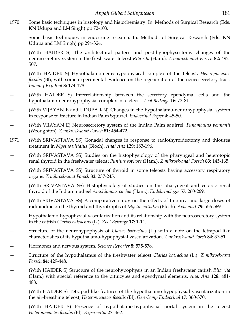- 1970 Some basic techniques in histology and histochemistry. In: Methods of Surgical Research (Eds. KN Udupa and LM Singh) pp 72-103.
- Some basic techniques in endocrine research. In: Methods of Surgical Research (Eds. KN Udupa and LM Singh) pp 294-324.
- (With HAIDER S) The architectural pattern and post-hypophysectomy changes of the neurosecretory system in the fresh water teleost *Rita rita* (Ham.). *Z mikrosk-anat Forsch* **82:** 492- 507.
- (With HAIDER S) Hypothalamo-neurohypophysical complex of the teleost, *Heteropneustes fossilis* (Bl), with some experimental evidence on the regeneration of the neurosecretory tract. *Indian J Exp Biol* **8:** 174-178.
- (With HAIDER S) Interrelationship between the secretory ependymal cells and the hypothalamo-neurohypophysial complex in a teleost. *Zool Beitrage* **16:** 73-81.
- (With VIJAYAN E and UDUPA KN) Changes in the hypothalamo-neurohypophysial system in response to fracture in Indian Palm Squirrel. *Endocrinol Exper* **4:** 45-50.
- (With VIJAYAN E) Neurosecretory system of the Indian Palm squirrel, *Funambulus pennanti*  (Wroughton). *Z mikrosk-anat Forsch* **81:** 454-472.
- 1971 (With SRIVASTAVA SS) Gonadal changes in response to radiothyroidectomy and thiourea treatment in *Mystus vittatus* (Bloch). *Anat Anz* **129:** 183-196.
- (With SRIVASTAVA SS) Studies on the histophysiology of the pharyngeal and heterotopic renal thyroid in the freshwater teleost *Puntius sophore* (Ham.). *Z mikrosk-anat Forsch* **83:** 145-165.
- (With SRIVASTAVA SS) Structure of thyroid in some teleosts having accessory respiratory organs. *Z mikrosk-anat Forsch* **83:** 237-245.
- (With SRIVASTAVA SS) Histophysiological studies on the pharyngeal and ectopic renal thyroid of the Indian mud eel *Amphipnous cuchia* (Ham.). *Endokrinologie* **57:** 260-269.
- (With SRIVASTAVA SS) A comparative study on the effects of thiourea and large doses of radioiodine on the thyroid and thyrotrophs of *Mystus vittatus* (Bloch). *Acta anat* **79:** 556-569.
- Hypothalamo-hypophysial vascularization and its relationship with the neurosecretory system in the catfish *Clarias batrachus* (L.). *Zool Beitrage* **17:** 1-11.
- Structure of the neurohypophysis of *Clarias batrachus* (L.) with a note on the tetrapod-like characteristics of its hypothalamo-hypophysial vascularization. *Z mikrosk-anat Forch* **84:** 37-51.
- Hormones and nervous system. *Science Reporter* **8:** 575-578.
- Structure of the hypothalamus of the freshwater teleost *Clarias batrachus* (L.). *Z mikrosk-arat Forsch* **84:** 429-448.
- (With HAIDER S) Structure of the neurohypophysis in an Indian freshwater catfish *Rita rita* (Ham.) with special reference to the pituicytes and ependymal elements. *Ana. Anz* **128:** 481- 488.
- (With HAIDER S) Tetrapod-like features of the hypothalamo-hypophysial vascularization in the air-breathing teleost, *Heteropneustes fossilis* (Bl). *Gen Comp Endocrinol* **17:** 360-370.
- (With HAIDER S) Presence of hypothalamo-hypophysial portal system in the teleost *Heteropneustes fossilis* (Bl). *Experientia* **27:** 462.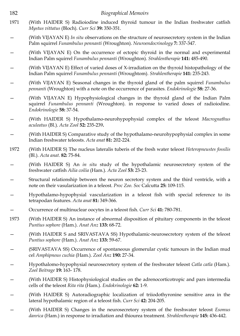| 182  | <b>Biographical Memoirs</b>                                                                                                                                                                              |
|------|----------------------------------------------------------------------------------------------------------------------------------------------------------------------------------------------------------|
| 1971 | (With HAIDER S) Radioiodine induced thyroid tumour in the Indian freshwater catfish<br>Mystus vittatus (Bloch). Curr Sci 39: 350-351.                                                                    |
|      | (With VIJAYAN E) In situ observations on the structure of neurosecretory system in the Indian<br>Palm squirrel Funambulus pennanti (Wroughton). Neuroendocrinology 7: 337-347.                           |
|      | (With VIJAYAN E) On the occurrence of ectopic thyroid in the normal and experimental<br>Indian Palm squirrel Funambulus pennanti (Wroughton). Strahlentherapie 141: 485-490.                             |
|      | (With VIJAYAN E) Effect of varied doses of X-irradiation on the thyroid histopathology of the<br>Indian Palm squirrel Funambulus pennanti (Wroughtom). Strahlentherapie 141: 235-243.                    |
|      | (With VIJAYAN E) Seasonal changes in the thyroid gland of the palm squirrel <i>Funambulus</i><br>pennanti (Wroughton) with a note on the occurrence of parasites. Endokrinologie 58: 27-36.              |
|      | (With VIJAYAN E) Hypophysiological changes in the thyroid gland of the Indian Palm<br>squirrel Funambulus pennanti (Wroughton). in response to varied doses of radioiodine.<br>Endokrinologie 58: 37-54. |
|      | (With HAIDER S) Hypothalamo-neurohypophysial complex of the teleost Macrognathus<br>aculeatus (Bl.). Acta Zool 52: 235-239.                                                                              |
|      | (With HAIDER S) Comparative study of the hypothalamo-neurohypophysial complex in some<br>Indian freshwater teleosts. Acta anat 81: 202-224.                                                              |
| 1972 | (With HAIDER S) The nucleus lateralis tuberis of the fresh water teleost Heteropneustes fossilis<br>(Bl.). Acta anat. 82: 75-84.                                                                         |
|      | (With HAIDER S) An in situ study of the hypothalamic neurosecretory system of the<br>freshwater catfish Ailia coilia (Ham.). Acta Zool 53: 23-23.                                                        |
|      | Structural relationship between the neuron secretory system and the third ventricle, with a<br>note on their vasularization in a teleost. Proc Zoo. Soc Calcutta 25: 109-115.                            |
|      | Hypothalamo-hypophysial vascularization in a teleost fish with special reference to its<br>tetrapodan features. Acta anat 81: 349-366.                                                                   |
|      | Occurrence of multinuclear oocytes in a teleost fish. Curr Sci 41: 780-781.                                                                                                                              |
| 1973 | (With HAIDER S) An instance of abnormal disposition of pituitary components in the teleost<br>Puntius sophore (Ham.). Anat Anz 133: 68-72.                                                               |
|      | (With HAIDER S and SRIVASTAVA SS) Hypothalamic-neurosecretory system of the teleost<br>Puntius sophore (Ham.). Anat Anz 133: 59-67.                                                                      |
|      | (SRIVASTAVA SS) Occurrence of spontaneous glomerular cystic tumours in the Indian mud<br>cel Amphipnous cuchia (Ham.). Zool Anz 190: 27-34.                                                              |
|      | Hypothalomo-hypophysial neurosecretory system of the freshwater teleost Catla catla (Ham.).<br>Zool Beitrage 19: 163-178.                                                                                |
|      | (With HAIDER S) Histophysiological studies on the adrenocorticotropic and pars intermedia<br>cells of the teleost Rita rita (Ham.). Endokrinologie 62: 1-9.                                              |
|      | (With HAIDER S) Autoradiographic localization of triiodothyronine sensitive area in the<br>lateral hypothalamic region of a teleost fish. Curr Sci 42: 204-205.                                          |
|      | (With HAIDER S) Changes in the neurosecretory system of the freshwater teleost <i>Esomus</i><br>danrica (Ham.) in response to irradiation and thiourea treatment. Strahlentherapie 145: 436-442.         |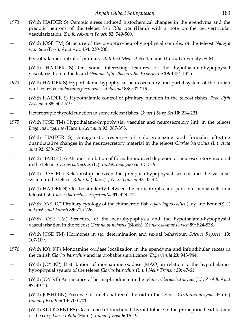- 1973 (With HAIDER S) Osmotic stress induced histochemical changes in the ependyma and the preoptic neurons of the teleost fish *Rita rita* (Ham.) with a note on the perivertricular vascularization. *Z mikrosk-anat Forsch* **82:** 549-560.
- (With JOSE TM) Structure of the preoptico-neurohypophysial complex of the teleost *Nangra punctata* (Day). *Anat Anz* **134:** 230-238.
- Hypothalamic control of pituitary. *Bull Inst Medical Sci* Banaras Hindu University 59-64.
- (With HAIDER S) On some interesting features of the hypothalamo-hypophysial vascularization in the lizard *Hemidactylus flaciviridis. Experientia* **29:** 1424-1425.
- 1974 (With HAIDER S) Hypothalamo-hypophysial neurosecretory and portal system of the Indian wall lizard *Hemidactylus flaciviridis. Acta anat* **88:** 502-219.
- (With HAIDER S) Hypothalamic control of pituitary function in the teleost fishes. *Proc Fifth Asia anat* **88:** 502-519.
- Heterotropic thyroid function in some teleost fishes. *Quart J Surg Sci* **10:** 214-221.
- 1975 (With JOSE TM) Hypothalamo-hypophysial vascular and neurosecretory link in the teleost *Bagarius bagarius* (Ham.). *Acta anat* **93:** 387-398.
- (With HAIDER S) Antagonistic response of chlorpromazine and formalin effecting quantitatative changes in the neurosecretory material in the teleost *Clarias batrachus* (L.). *Acta anat* **92:** 630-637.
- (With HAIDER S) Alcohol inhibition of formalin induced depletion of neurosecretory material in the teleost *Clarias batrachus* (L.). *Endokrinologie* **65:** 313-319.
- (With DAS RC) Relationship between the preoptico-hypophysial system and the vascular system in the teleost *Rita rita* (Ham.). *J Neur Transm* **37:** 33-42.
- (With HAIDER S) On the similarity between the corticotrophs and pars intermedia cells in a teleost fish *Clarias batrachus. Experientia* **31:** 423-424.
- (With DAS RC) Pituitary cytology of the chimaeroid fish *Hydrolagus colliei* (Lay and Bennett). *Z mikrosk-anat Forsch* **89:** 715-726.
- (With JOSE TM) Structure of the neurohypophysis and the hypothalamo-hypophysial vascularisation in the teleost *Channa punctatus* (Bloch). *Z mikrosk-anat Forsch* **89:** 824-838.
- (With JOSE TM) Hormones in sex determination and sexual behaviour. *Science Reporter* **13:**  107-109.
- 1976 (With JOY KP) Monoamine oxidase localization in the ependyma and infundibular recess in the catfish *Clarias batrachus* and its probable significance. *Experientia* **23:** 943-944.
- (With JOY KP) Distribution of monoamine oxidase (MAO) in relation to the hypothalamohypophysial system of the teleost *Clarias batrachus* (L.). *J Neur Transm* **39:** 47-61.
- (With JOY KP) An instance of hermaphroditism in the teleost *Clarias batrachus* (L.). *Zool Jb Anat* **97:** 40-44.
- (With JOSHI BN) Presence of functional renal thyroid in the teleost *Cirrhinus mrigala* (Ham.) *Indian J Exp Biol* **14:** 700-701.
- (With KULKARNI RS) Occurrence of functional thyroid follicle in the pronephric head kidney of the carp *Labeo rohita* (Ham.). *Indian J Zool* **6:** 16-19.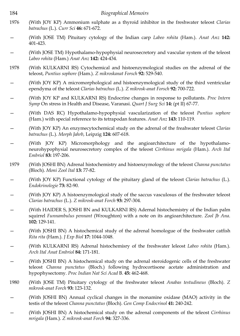| 184  | <b>Biographical Memoirs</b>                                                                                                                                                                                                                     |
|------|-------------------------------------------------------------------------------------------------------------------------------------------------------------------------------------------------------------------------------------------------|
| 1976 | (With JOY KP) Ammonium sulphate as a thyroid inhibitor in the freshwater teleost Clarias<br>batrachus (L.). Curr Sci 46: 671-672.                                                                                                               |
|      | (With JOSE TM) Pituitary cytology of the Indian carp Labeo rohita (Ham.). Anat Anz 142:<br>401-423.                                                                                                                                             |
|      | (With JOSE TM) Hypothalamo-hypophysial neurosecretory and vascular system of the teleost<br>Labeo rohita (Ham.) Anat Anz 142: 424-434.                                                                                                          |
| 1978 | (With KULKARNI RS) Cytochemical and histoenzymological studies on the adrenal of the<br>teleost, Puntius sophore (Ham.). Z mikroskanat Forsch 92: 529-540.                                                                                      |
|      | (With JOY KP) A micromorphological and histoenzymological study of the third ventricular<br>ependyma of the teleost Clarias batrachus (L.). Z mikrosk-anat Forsch 92: 700-722.                                                                  |
|      | (With JOY KP and KULKARNI RS) Endocrine changes in response to pollutants. Proc Intern<br>Symp On stress in Health and Disease, Varanasi. Quart J Surg Sci 14: (pt II) 67-77.                                                                   |
|      | (With DAS RC) Hypothalamo-hypophysial vascularization of the teleost Puntius sophore<br>(Ham.) with special reference to its tetrapodan features. Anat Anz 143: 110-119.                                                                        |
|      | (With JOY KP) An enzymecytochemical study on the adrenal of the freahwater teleost Clarias<br>batrachus (L.). Morph Jahrb, Leipzig 124: 607-618.                                                                                                |
|      | (With JOY KP) Micromorphology and the angioarchitecture of the hypothalamo-<br>neurohypophysial neurosecretory complex of the teleost Cirrhinus mrigala (Ham.). Arch Ital<br>Embriol 83: 197-206.                                               |
| 1979 | (With JOSHI BN) Adrenal histochemistry and histoenzymology of the teleost Channa punctatus<br>(Bloch). Moni Zool Ital 13: 77-82.                                                                                                                |
|      | (With JOY KP) Functional cytology of the pituitary gland of the teleost Clarias batrachus (L.).<br>Endokrinologie 73: 82-90.                                                                                                                    |
|      | (With JOY KP) A histoenzymological study of the saccus vasculosus of the freshwater teleost<br>Clarias batrachus (L.). Z mikrosk-anat Forch 93: 297-304.                                                                                        |
|      | (With HAIDER S, JOSHI BN and KULKARNI RS) Adernal histochemistry of the Indian palm<br>squirrel Funnambulus pennant (Wroughton) with a note on its angioarchitecture. Zool Jb Ana.<br>102: 129-141.                                             |
|      | (With JOSHI BN) A histochemical study of the adrenal homologue of the freshwater catfish<br>Rita rita (Ham.). J Exp Biol 17: 1044-1048.                                                                                                         |
|      | (With KULKARNI RS) Adrenal histochemisry of the freshwater leleost Labeo rohita (Ham.).<br>Arch Ital Anat Embriol 84: 171-181.                                                                                                                  |
|      | (With JOSHI BN) A histochemical study on the adrenal steroidogenic cells of the freshwater<br>teleost Channa punctatus (Bloch.) following hydrocortisone acetate administration and<br>hypophysectomy. Proc Indian Nat Sci Acad B. 45: 462-468. |
| 1980 | (With JOSE TM) Pituitary cytology of the freshwater teleost Anabas testudineus (Bloch). Z<br>mikrosk-anat Forch 93: 123-132.                                                                                                                    |
|      | (With JOSHI BN) Annual cyclical changes in the monamine oxidase (MAO) activity in the<br>testis of the teleost Channa punctatus (Bloch). Gen Comp Endocrinol 41: 240-242.                                                                       |
|      | (With JOSHI BN) A histochemical study on the adrenal components of the teleost Cirrhinus<br>mrigala (Ham.). Z mikrosk-anat Forch 94: 327-336.                                                                                                   |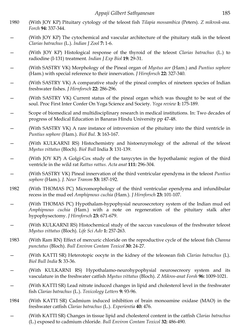- 1980 (With JOY KP) Pituitary cytology of the teleost fish *Tilapia mossambica* (Peters). *Z mikrosk-ana. Forch* **94:** 337-344.
- (With JOY KP) The cytochemical and vascular architecture of the pituitary stalk in the teleost *Clarias batrachus* (L.). *Indian J Zool* **7:** 1-6.
- (With JOY KP) Histological response of the thyroid of the teleost *Clarias batrachus* (L.) to radiodine (I-131) treatment. *Indian J Exp Biol* **19:** 29-31.
- (With SASTRY VK) Morphology of the Pineal organ of *Mystus aor* (Ham.) and *Puntius sophore*  (Ham.) with special reference to their innervation. *J Hirnforsch* **22:** 327-340.
- (With SASTRY VK) A comparative study of the pineal complex of nineteen species of Indian freshwater fishes. *J Hirnforsch* **22:** 286-296.
- (With SASTRY VK) Current status of the pineal organ which was thought to be seat of the soul. Proc First Inter Confer On Yoga Science and Society. *Yoga review* **I:** 175-189.
- Scope of biomedical and multidisciplinary research in medical institutions. In: Two decades of progress of Medical Education in Banaras Hindu University pp 47-48.
- (With SASTRY VK) A rare instance of introversion of the pituitary into the third ventricle in *Puntius sophore* (Ham.). *Biol Bul.* **3:** 163-167.
- (With KULKARNI RS) Histochemistry and histoenzymology of the adrenal of the teleost *Mystus vittatus* (Bloch). *Biol Bull* India **3:** 131-139.
- (With JOY KP) A Golgi-Cox study of the tanycytes in the hypothalamic region of the third ventricle in the wild rat *Rattus rattus. Acta anat* **111:** 296-304.
- (With SASTRY VK) Pineal innervation of the third ventricular ependyma in the teleost *Puntius sophore* (Ham.). *J. Neur Transm* **53:** 187-192.
- 1982 (With THOMAS PC) Micromorphology of the third ventricular ependyma and infundibular recess in the mud eel *Amphipnous cuchia* (Ham.). *J Hirnforsch* **23:** 101-107.
- (With THOMAS PC) Hypothalam-hypophysial neurosecretory system of the Indian mud eel *Amphipnous cuchia* (Ham.) with a note on regeneration of the pituitary stalk after hypophysectomy. *J Hirnforsch* **23:** 671-679.
- (With KULKARNI RS) Histochemical study of the saccus vasculosus of the freshwater teleost *Mystus vittatus* (Bloch). *Life Sci Adv* **1:** 257-263.
- 1983 (With Ram RN) Effect of mercuric chloride on the reproductive cycle of the teleost fish *Channa punctatus* (Bloch). *Bull Environ Contam Toxicol* **30:** 24-27.
- (With KATTI SR) Heterotopic oocyte in the kidney of the teleosean fish *Clarias batrachus* (L). *Biol Bull India* **5:** 33-36.
- (With KULKARNI RS) Hypothalamo-neurohypophysial neurosecreory system and its vasculature in the freshwater catfish *Mystus vittatus* (Bloch). *Z Mikros-anat Forsh* **96:** 1009-1021.
- (With KATTI SR) Lead nitrate induced changes in lipid and cholesterol level in the freshwater fish *Clarias batrachus* (L.). *Toxicology Letters* **9:** 93-96.
- 1984 (With KATTI SR) Cadmium induced inhibition of brain monoamine oxidase (MAO) in the freshwater catfish *Clarias batrachus* (L.). *Experientia* **40:** 476.
- (With KATTI SR) Changes in tissue lipid and cholesterol content in the catfish *Clarias batrachus* (L.) exposed to cadmium chloride. *Bull Environ Contam Toxicol* **32:** 486-490.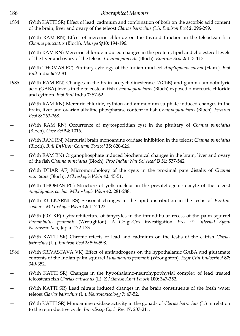| 186  | <b>Biographical Memoirs</b>                                                                                                                                                                                                      |
|------|----------------------------------------------------------------------------------------------------------------------------------------------------------------------------------------------------------------------------------|
| 1984 | (With KATTI SR) Effect of lead, cadmium and combination of both on the ascorbic acid content<br>of the brain, liver and ovary of the teleost Clarias batrachus (L.). Environ Ecol 2: 296-299.                                    |
|      | (With RAM RN) Effect of mercuric chloride on the thyroid function in the teleostean fish<br>Channa punctatus (Bloch). Matsya 9/10: 194-196.                                                                                      |
|      | (With RAM RN) Mercuric chloride induced changes in the protein, lipid and cholesterol levels<br>of the liver and ovary of the teleost Channa punctats (Bloch). Environ Ecol 2: 113-117.                                          |
|      | (With THOMAS PC) Pituitary cytology of the Indian mud eel Amphipnous cuchia (Ham.). Biol<br>Bull India 6: 72-81.                                                                                                                 |
| 1985 | (With RAM RN) Changes in the brain acetycholinesterase (AChE) and gamma aminobutyric<br>acid (GABA) levels in the teleostean fish Channa punctatus (Bloch) exposed o mercuric chloride<br>and cythion. Biol Bull India 7: 57-62. |
|      | (With RAM RN) Mercuric chloride, cythion and ammonium sulphate induced changes in the<br>brain, liver and ovarian alkaline phosphatase content in fish Channa punctatus (Bloch). Environ<br>Ecol 8: 263-268.                     |
|      | (With RAM RN) Occurrence of myxosporidian cyst in the pituitary of Channa punctatus<br>(Bloch). Curr Sci 54: 1016.                                                                                                               |
|      | (With RAM RN) Mercurial brain monoamine oxidase inhibition in the teleost Channa punctatus<br>(Bloch). Bull En Viron Contam Toxicol 35: 620-626.                                                                                 |
|      | (With RAM RN) Organophosphate induced biochemical changes in the brain, liver and ovary<br>of the fish Channa punctatus (Bloch). Proc Indian Nat Sci Acad B 51: 537-542.                                                         |
|      | (With DHAR AF) Micromorphology of the cysts in the proximal pars distalis of Channa<br>punctatus (Bloch). Mikroskopie Wein 42: 45-51.                                                                                            |
|      | (With THOMAS PC) Structure of yolk nucleus in the previtellogenic oocyte of the teleost<br>Amphipnous cuchia. Mikroskopie Wein 42: 281-288.                                                                                      |
|      | (With KULKARNI RS) Seasonal changes in the lipid distribution in the testis of Puntius<br>sophore. Mikroskopie Wein 42: 117-123.                                                                                                 |
|      | (With JOY KP) Cytoarchitecture of tanycytes in the infundibular recess of the palm squirrel<br>Funambulus pennanti (Wroughton). A Golgi-Cox investigation. Proc 9th Internat Symp<br>Neurosecretion, Japan 172-173.              |
|      | (With KATTI SR) Chronic effects of lead and cadmium on the testis of the catfish Clarias<br>batrachus (L.). Environ Ecol 3: 596-598.                                                                                             |
| 1986 | (With SRIVASTAVA VK) Effect of antiandrogens on the hypothalamic GABA and glutamate<br>contents of the Indian palm squirrel Funambulus pennanti (Wroughton). Expt Clin Endocrinol 87:<br>349-352.                                |
|      | (With KATTI SR) Changes in the hypothalamo-neurohypophysial complex of lead treated<br>teleostean fish Clarias batrachus (L). Z Mikrosk Anat Forsch 100: 347-352.                                                                |
|      | (With KATTI SR) Lead nitrate induced changes in the brain constituents of the fresh water<br>teleost Clarias batrachus (L.). Neurotoxicology 7: 47-52.                                                                           |
|      | (With KATTI SR) Monoamine oxidase activity in the gonads of Clarias batrachus (L.) in relation<br>to the reproductive cycle. Interdiscip Cycle Res 17: 207-211.                                                                  |
|      |                                                                                                                                                                                                                                  |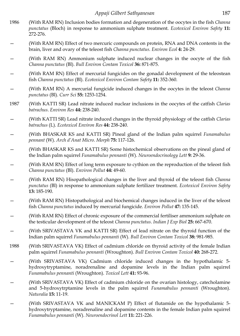- 1986 (With RAM RN) Inclusion bodies formation and degeneration of the oocytes in the fish *Channa punctatus* (Bloch) in response to ammonium sulphate treatment. *Ecotoxicol Environ Safety* **11:**  272-276.
- (With RAM RN) Effect of two mercuric compounds on protein, RNA and DNA contents in the brain, liver and ovary of the teleost fish *Channa punctatus*. *Environ Ecol* **4:** 24-29.
- (With RAM RN) Ammonium sulphate induced nuclear changes in the oocyte of the fish *Channa punctatus* (Bl). *Bull Environ Contam Toxicol* **36:** 871-875.
- (With RAM RN) Effect of mercurial fungicides on the gonadal development of the teleostean fish *Channa punctatus* (Bl). *Ecotoxicol Environ Contam Safety* **11:** 352-360.
- (With RAM RN) A mercurial fungicide induced changes in the oocytes in the teleost *Channa punctatus* (Bl). *Curr Sci* **55:** 1253-1254.
- 1987 (With KATTI SR) Lead nitrate induced nuclear inclusions in the oocytes of the catfish *Clarias batrachus*. *Environ Res* **44:** 238-240.
- (With KATTI SR) Lead nitrate induced changes in the thyroid physiology of the catfish *Clarias batrachus* (L). *Ecotoxicol Environ Res* **44:** 238-240.
- (With BHASKAR KS and KATTI SR) Pineal gland of the Indian palm squirrel *Funamabulus pennant* (W). *Arch d'Anat Micro. Morph* **75:** 117-126.
- (With BHASKAR KS and KATTI SR) Some histochemical observations on the pineal gland of the Indian palm squirrel *Funamabulus pennanti* (W). *Neuroendocrinology Lett* **9:** 29-36.
- (With RAM RN) Effect of long term exposure to cythion on the reproduction of the teleost fish *Channa punctatus* (Bl). *Environ Pollut* **44:** 49-60.
- (With RAM RN) Hisopathological changes in the liver and thyroid of the teleost fish *Channa punctatus* (Bl) in response to ammonium sulphate fertilizer treatment. *Ecotoxicol Environ Safety* **13:** 185-190.
- (With RAM RN) Histopathological and biochemical changes induced in the liver of the teleost fish *Channa punctatus* induced by mercurial fungicide. *Environ Pollut* **47:** 135-145.
- (With RAM RN) Effect of chronic exposure of the commercial fertiliser ammonium sulphate on the testicular development of the teleost *Channa punctatus*. *Indian J Exp Biol* **25:** 667-670.
- (With SRIVASTAVA VK and KATTI SR) Effect of lead nitrate on the thyroid function of the Indian palm squirrel *Funamabulus pennanti* (W). *Bull Environ Contam Toxicol* **38:** 981-985.
- 1988 (With SRIVASTAVA VK) Effect of cadmium chloride on thyroid activity of the female Indian palm squirrel *Funamabulus pennanti* (Wroughton). *Bull Environ Contam Toxicol* **40:** 268-272.
- (With SRIVASTAVA VK) Cadmium chloride induced changes in the hypothalamic 5 hydroxytryptamine, noradrenaline and dopamine levels in the Indian palm squirrel *Funamabulus pennanti* (Wroughton). *Toxicol Lett* **41:** 93-96.
- (With SRIVASTAVA VK) Effect of cadmium chloride on the ovarian histology, catecholamine and 5-hydroxytrptamine levels in the palm squirrel *Funamabulus pennanti* (Wroughton). *Naturalia* **15:** 11-19.
- (With SRIVASTAVA VK and MANICKAM P) Effect of flutamide on the hypothalamic 5hydroxytryptamine, noradrenaline and dopamine contents in the female Indian palm squirrel *Funamabulus pennanti* (W). *Neuroendocrinol Lett* **11:** 221-226.